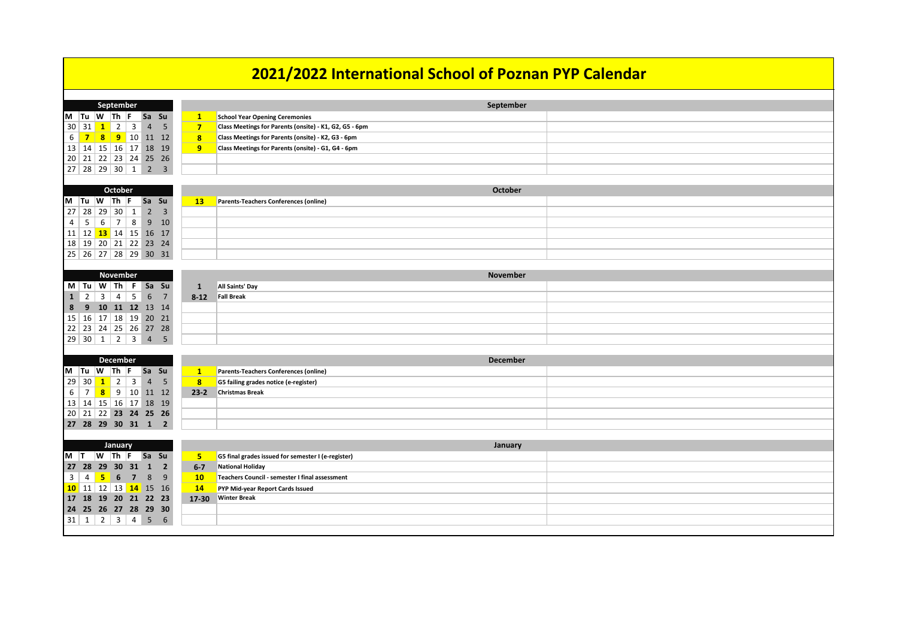| 2021/2022 International School of Poznan PYP Calendar                                    |                         |                                                        |  |  |
|------------------------------------------------------------------------------------------|-------------------------|--------------------------------------------------------|--|--|
| September                                                                                |                         | September                                              |  |  |
| M  Tu  W  Th  F  Sa Su                                                                   | $\mathbf{1}$            | <b>School Year Opening Ceremonies</b>                  |  |  |
| $\overline{3}$<br>$30 \mid 31$<br>$\overline{2}$<br>$\overline{4}$<br>$\mathbf{1}$<br>-5 | $\overline{\mathbf{z}}$ | Class Meetings for Parents (onsite) - K1, G2, G5 - 6pm |  |  |
| 6<br>$\overline{7}$<br>$\mathbf{8}$<br><b>9</b> 10 11 12                                 | 8 <sup>°</sup>          | Class Meetings for Parents (onsite) - K2, G3 - 6pm     |  |  |
| 13   14   15   16   17   18   19                                                         | 9                       | Class Meetings for Parents (onsite) - G1, G4 - 6pm     |  |  |
| $20$ 21 22 23 24 25 26                                                                   |                         |                                                        |  |  |
|                                                                                          |                         |                                                        |  |  |
|                                                                                          |                         |                                                        |  |  |
| <b>October</b>                                                                           |                         | <b>October</b>                                         |  |  |
| Sa Su<br>M<br> Tu W Th F                                                                 | $\overline{13}$         | Parents-Teachers Conferences (online)                  |  |  |
| $2^{\circ}$<br>27<br>$ 29\rangle$<br>28<br>30<br>$\overline{\mathbf{3}}$<br>$\mathbf{1}$ |                         |                                                        |  |  |
| $\overline{7}$<br>$9$ 10<br>4<br>5<br>8<br>6                                             |                         |                                                        |  |  |
| <b>13</b> 14 15 16 17<br>$11 \mid 12 \mid$                                               |                         |                                                        |  |  |
| $18$ 19 20 21 22 23 24                                                                   |                         |                                                        |  |  |
| $25 \mid 26 \mid 27 \mid 28 \mid 29 \mid 30 \mid 31$                                     |                         |                                                        |  |  |
|                                                                                          |                         |                                                        |  |  |
| <b>November</b>                                                                          |                         | <b>November</b>                                        |  |  |
| $\mid M \mid Tu \mid W \mid Th \mid F$ Sa Su                                             | 1                       | <b>All Saints' Day</b>                                 |  |  |
| $\vert$ 1<br>5<br>$\overline{2}$<br>3<br>6<br>7<br>4                                     | $8 - 12$                | <b>Fall Break</b>                                      |  |  |
| 9<br>10 11 12 13 14<br>8                                                                 |                         |                                                        |  |  |
| $15 \mid 16 \mid 17 \mid 18 \mid 19 \mid 20 \mid 21$<br>22   23   24   25   26   27 28   |                         |                                                        |  |  |
| 2<br>$\overline{3}$<br>29 30 1<br>4 <sub>5</sub>                                         |                         |                                                        |  |  |
|                                                                                          |                         |                                                        |  |  |
| <b>December</b>                                                                          |                         | <b>December</b>                                        |  |  |
| Sa Su<br>$\mathsf{M}$ Tu $\mathsf{W}$ Th F                                               | $\mathbf{1}$            | Parents-Teachers Conferences (online)                  |  |  |
| 30<br>$\overline{2}$<br>$\mathbf{3}$<br>$\overline{4}$<br>29<br>5<br>$\mathbf{1}$        | 8 <sup>°</sup>          | G5 failing grades notice (e-register)                  |  |  |
| $\overline{7}$<br>9<br>10 11 12<br>$\boldsymbol{8}$<br>6                                 | $23-2$                  | <b>Christmas Break</b>                                 |  |  |
| $13 \mid 14 \mid 15 \mid 16 \mid 17 \mid 18 \mid 19$                                     |                         |                                                        |  |  |
| 20 21 22 23 24 25 26                                                                     |                         |                                                        |  |  |
| 27 28 29 30 31 1 2                                                                       |                         |                                                        |  |  |
|                                                                                          |                         |                                                        |  |  |
| <b>January</b>                                                                           |                         | <b>January</b>                                         |  |  |
| $M$ T<br>$ W $ Th $ F $ Sa Su                                                            | 5.                      | G5 final grades issued for semester I (e-register)     |  |  |
| 27 28 29 30 31 1 2                                                                       | $6 - 7$                 | <b>National Holiday</b>                                |  |  |
| $\overline{3}$<br>5 6 7<br>8 <sup>9</sup><br>4                                           | 10 <sup>°</sup>         | Teachers Council - semester I final assessment         |  |  |
| <b>10</b> 11 12 13 <b>14</b> 15 16                                                       | 14                      | PYP Mid-year Report Cards Issued                       |  |  |
| 17 18 19 20 21 22 23                                                                     | $17 - 30$               | <b>Winter Break</b>                                    |  |  |
| 24 25 26 27 28 29 30                                                                     |                         |                                                        |  |  |
| $31 \mid 1 \mid 2 \mid 3 \mid 4 \mid 5 \mid 6$                                           |                         |                                                        |  |  |